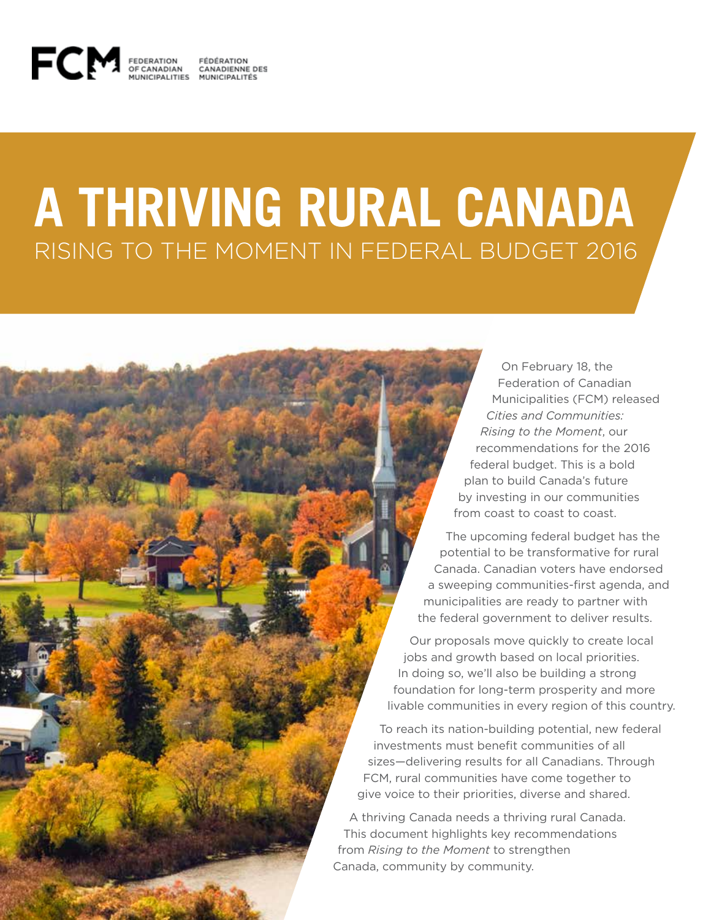

### **A THRIVING RURAL CANADA** RISING TO THE MOMENT IN FEDERAL BUDGET 2016

On February 18, the Federation of Canadian Municipalities (FCM) released *Cities and Communities: Rising to the Moment*, our recommendations for the 2016 federal budget. This is a bold plan to build Canada's future by investing in our communities from coast to coast to coast.

The upcoming federal budget has the potential to be transformative for rural Canada. Canadian voters have endorsed a sweeping communities-first agenda, and municipalities are ready to partner with the federal government to deliver results.

Our proposals move quickly to create local jobs and growth based on local priorities. In doing so, we'll also be building a strong foundation for long-term prosperity and more livable communities in every region of this country.

To reach its nation-building potential, new federal investments must benefit communities of all sizes—delivering results for all Canadians. Through FCM, rural communities have come together to give voice to their priorities, diverse and shared.

A thriving Canada needs a thriving rural Canada. This document highlights key recommendations from *Rising to the Moment* to strengthen Canada, community by community.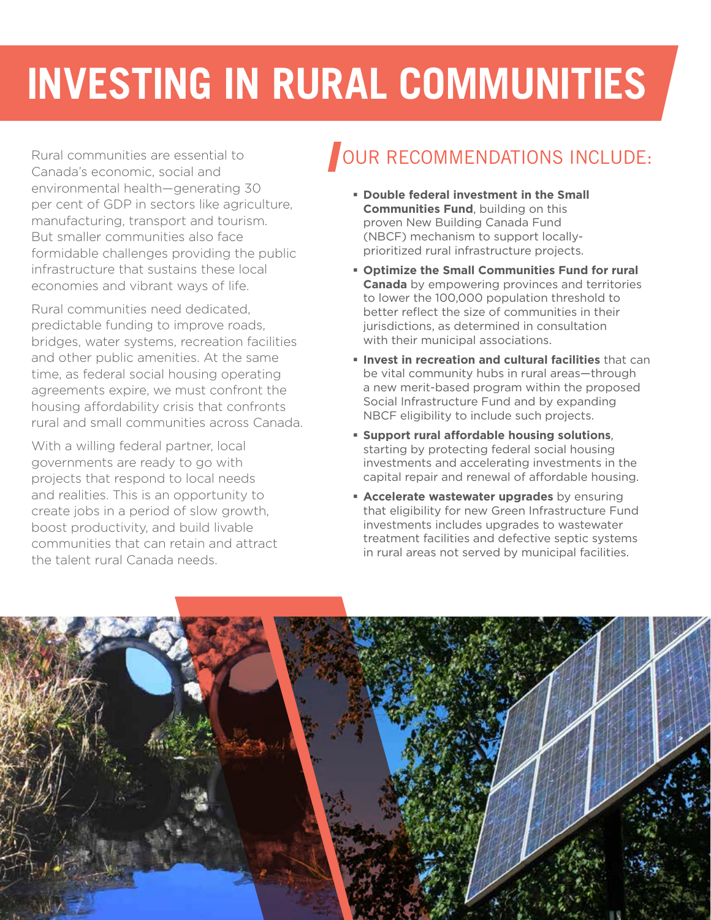# **INVESTING IN RURAL COMMUNITIES**

Rural communities are essential to Canada's economic, social and environmental health—generating 30 per cent of GDP in sectors like agriculture, manufacturing, transport and tourism. But smaller communities also face formidable challenges providing the public infrastructure that sustains these local economies and vibrant ways of life.

Rural communities need dedicated, predictable funding to improve roads, bridges, water systems, recreation facilities and other public amenities. At the same time, as federal social housing operating agreements expire, we must confront the housing affordability crisis that confronts rural and small communities across Canada.

With a willing federal partner, local governments are ready to go with projects that respond to local needs and realities. This is an opportunity to create jobs in a period of slow growth, boost productivity, and build livable communities that can retain and attract the talent rural Canada needs.

### OUR RECOMMENDATIONS INCLUDE:

- **Double federal investment in the Small Communities Fund**, building on this proven New Building Canada Fund (NBCF) mechanism to support locallyprioritized rural infrastructure projects.
- **Optimize the Small Communities Fund for rural Canada** by empowering provinces and territories to lower the 100,000 population threshold to better reflect the size of communities in their jurisdictions, as determined in consultation with their municipal associations.
- **Invest in recreation and cultural facilities** that can be vital community hubs in rural areas—through a new merit-based program within the proposed Social Infrastructure Fund and by expanding NBCF eligibility to include such projects.
- **Support rural affordable housing solutions**, starting by protecting federal social housing investments and accelerating investments in the capital repair and renewal of affordable housing.
- **Accelerate wastewater upgrades** by ensuring that eligibility for new Green Infrastructure Fund investments includes upgrades to wastewater treatment facilities and defective septic systems in rural areas not served by municipal facilities.

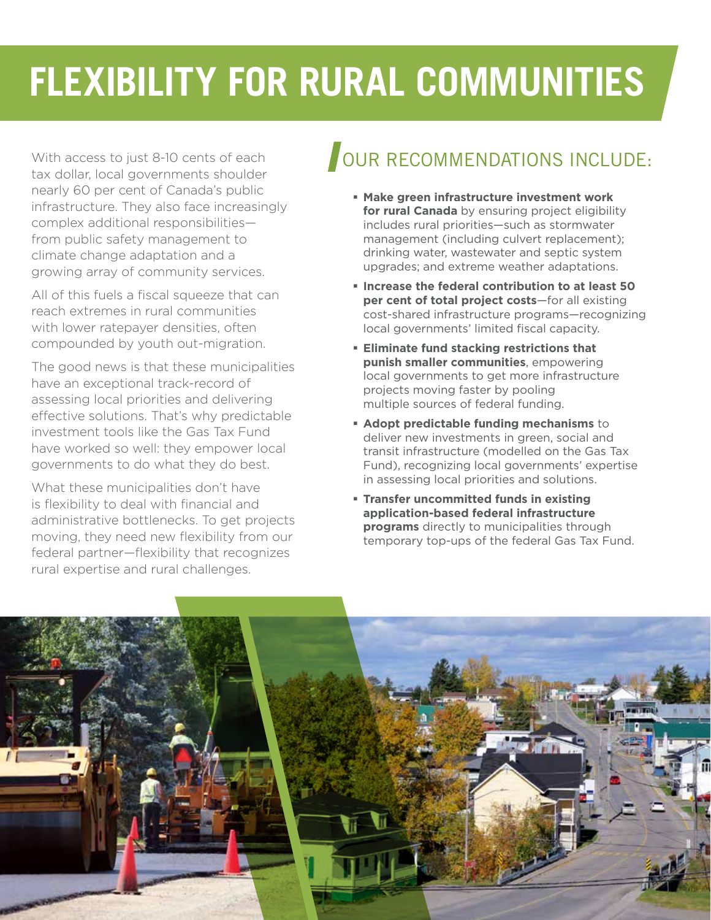## **FLEXIBILITY FOR RURAL COMMUNITIES**

With access to just 8-10 cents of each tax dollar, local governments shoulder nearly 60 per cent of Canada's public infrastructure. They also face increasingly complex additional responsibilities from public safety management to climate change adaptation and a growing array of community services.

All of this fuels a fiscal squeeze that can reach extremes in rural communities with lower ratepayer densities, often compounded by youth out-migration.

The good news is that these municipalities have an exceptional track-record of assessing local priorities and delivering effective solutions. That's why predictable investment tools like the Gas Tax Fund have worked so well: they empower local governments to do what they do best.

What these municipalities don't have is flexibility to deal with financial and administrative bottlenecks. To get projects moving, they need new flexibility from our federal partner—flexibility that recognizes rural expertise and rural challenges.

### OUR RECOMMENDATIONS INCLUDE:

- **Make green infrastructure investment work for rural Canada** by ensuring project eligibility includes rural priorities—such as stormwater management (including culvert replacement); drinking water, wastewater and septic system upgrades; and extreme weather adaptations.
- **Increase the federal contribution to at least 50 per cent of total project costs**—for all existing cost-shared infrastructure programs—recognizing local governments' limited fiscal capacity.
- **Eliminate fund stacking restrictions that punish smaller communities**, empowering local governments to get more infrastructure projects moving faster by pooling multiple sources of federal funding.
- **Adopt predictable funding mechanisms** to deliver new investments in green, social and transit infrastructure (modelled on the Gas Tax Fund), recognizing local governments' expertise in assessing local priorities and solutions.
- **Transfer uncommitted funds in existing application-based federal infrastructure programs** directly to municipalities through temporary top-ups of the federal Gas Tax Fund.